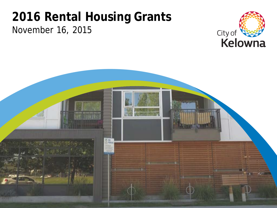### November 16, 2015 **2016 Rental Housing Grants**



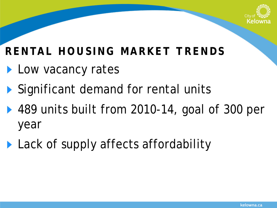

# **RENTAL HOUSING MARKET TRENDS**

- **Low vacancy rates**
- Significant demand for rental units
- ▶ 489 units built from 2010-14, goal of 300 per year
- **Lack of supply affects affordability**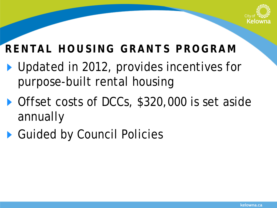

# **RENTAL HOUSING GRANTS PROGRAM**

- ▶ Updated in 2012, provides incentives for purpose-built rental housing
- Offset costs of DCCs, \$320,000 is set aside annually
- Guided by Council Policies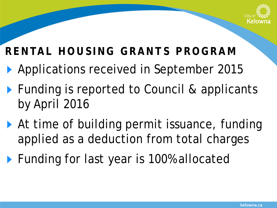

# **RENTAL HOUSING GRANTS PROGRAM**

- ▶ Applications received in September 2015
- ▶ Funding is reported to Council & applicants by April 2016
- ▶ At time of building permit issuance, funding applied as a deduction from total charges
- ▶ Funding for last year is 100% allocated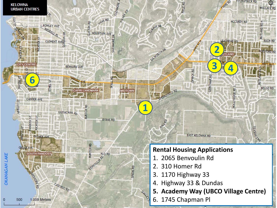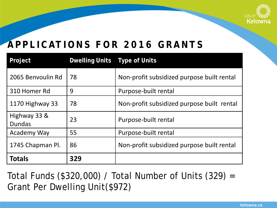

### **APPLICATIONS FOR 2016 GRANTS**

| Project                       | <b>Dwelling Units Type of Units</b> |                                            |  |
|-------------------------------|-------------------------------------|--------------------------------------------|--|
| 2065 Benvoulin Rd             | 78                                  | Non-profit subsidized purpose built rental |  |
| 310 Homer Rd                  | 9                                   | Purpose-built rental                       |  |
| 1170 Highway 33               | 78                                  | Non-profit subsidized purpose built rental |  |
| Highway 33 &<br><b>Dundas</b> | 23                                  | Purpose-built rental                       |  |
| <b>Academy Way</b>            | 55                                  | Purpose-built rental                       |  |
| 1745 Chapman Pl.              | 86                                  | Non-profit subsidized purpose built rental |  |
| <b>Totals</b>                 | 329                                 |                                            |  |

Total Funds (\$320,000) / Total Number of Units (329) = Grant Per Dwelling Unit(\$972)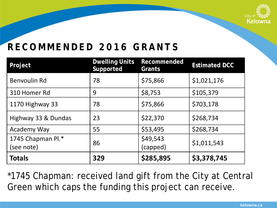

#### **RECOMMENDED 2016 GRANTS**

| Project                         | <b>Dwelling Units</b><br>Supported | Recommended<br>Grants | <b>Estimated DCC</b> |
|---------------------------------|------------------------------------|-----------------------|----------------------|
| Benvoulin Rd                    | 78                                 | \$75,866              | \$1,021,176          |
| 310 Homer Rd                    | 9                                  | \$8,753               | \$105,379            |
| 1170 Highway 33                 | 78                                 | \$75,866              | \$703,178            |
| Highway 33 & Dundas             | 23                                 | \$22,370              | \$268,734            |
| Academy Way                     | 55                                 | \$53,495              | \$268,734            |
| 1745 Chapman Pl.*<br>(see note) | 86                                 | \$49,543<br>(capped)  | \$1,011,543          |
| <b>Totals</b>                   | 329                                | \$285,895             | \$3,378,745          |

\*1745 Chapman: received land gift from the City at Central Green which caps the funding this project can receive.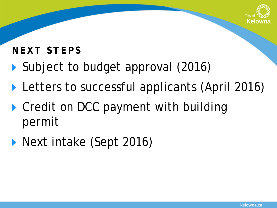

#### **NEXT STEPS**

- ▶ Subject to budget approval (2016)
- **Letters to successful applicants (April 2016)**
- ▶ Credit on DCC payment with building permit
- **Next intake (Sept 2016)**